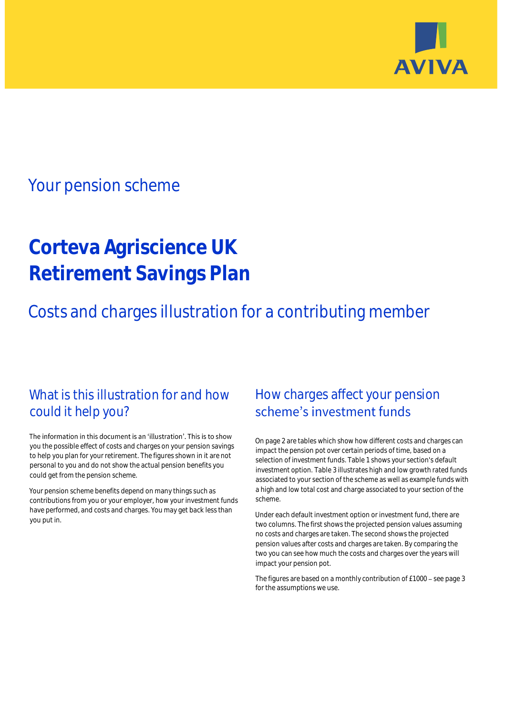

## Your pension scheme

# **Corteva Agriscience UK Retirement Savings Plan**

Costs and charges illustration for a contributing member

### What is this illustration for and how could it help you?

#### The information in this document is an 'illustration'. This is to show you the possible effect of costs and charges on your pension savings to help you plan for your retirement. The figures shown in it are not personal to you and do not show the actual pension benefits you could get from the pension scheme.

Your pension scheme benefits depend on many things such as contributions from you or your employer, how your investment funds have performed, and costs and charges. You may get back less than you put in.

### How charges affect your pension scheme's investment funds

On page 2 are tables which show how different costs and charges can impact the pension pot over certain periods of time, based on a selection of investment funds. Table 1 shows your section's default investment option. Table 3 illustrates high and low growth rated funds associated to your section of the scheme as well as example funds with a high and low total cost and charge associated to your section of the scheme.

Under each default investment option or investment fund, there are two columns. The first shows the projected pension values assuming no costs and charges are taken. The second shows the projected pension values after costs and charges are taken. By comparing the two you can see how much the costs and charges over the years will impact your pension pot.

The figures are based on a monthly contribution of £1000 - see page 3 for the assumptions we use.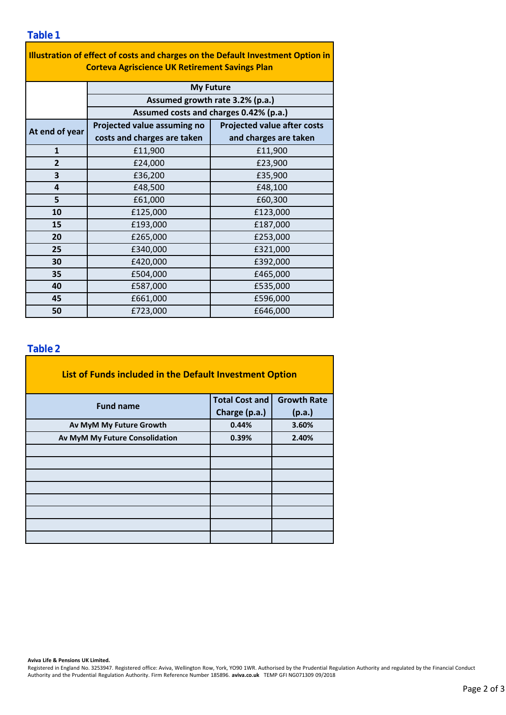| Illustration of effect of costs and charges on the Default Investment Option in<br><b>Corteva Agriscience UK Retirement Savings Plan</b> |                                                                                               |                                    |  |  |  |  |  |  |
|------------------------------------------------------------------------------------------------------------------------------------------|-----------------------------------------------------------------------------------------------|------------------------------------|--|--|--|--|--|--|
|                                                                                                                                          | <b>My Future</b><br>Assumed growth rate 3.2% (p.a.)<br>Assumed costs and charges 0.42% (p.a.) |                                    |  |  |  |  |  |  |
|                                                                                                                                          |                                                                                               |                                    |  |  |  |  |  |  |
|                                                                                                                                          |                                                                                               |                                    |  |  |  |  |  |  |
| At end of year                                                                                                                           | Projected value assuming no                                                                   | <b>Projected value after costs</b> |  |  |  |  |  |  |
|                                                                                                                                          | costs and charges are taken                                                                   | and charges are taken              |  |  |  |  |  |  |
| $\mathbf{1}$                                                                                                                             | £11,900                                                                                       | £11,900                            |  |  |  |  |  |  |
| $\overline{2}$                                                                                                                           | £24,000                                                                                       | £23,900                            |  |  |  |  |  |  |
| 3                                                                                                                                        | £36,200                                                                                       | £35,900                            |  |  |  |  |  |  |
| 4                                                                                                                                        | £48,500                                                                                       | £48,100                            |  |  |  |  |  |  |
| 5                                                                                                                                        | £61,000                                                                                       | £60,300                            |  |  |  |  |  |  |
| 10                                                                                                                                       | £125,000                                                                                      | £123,000                           |  |  |  |  |  |  |
| 15                                                                                                                                       | £193,000                                                                                      | £187,000                           |  |  |  |  |  |  |
| 20                                                                                                                                       | £265,000                                                                                      | £253,000                           |  |  |  |  |  |  |
| 25                                                                                                                                       | £340,000                                                                                      | £321,000                           |  |  |  |  |  |  |
| 30                                                                                                                                       | £420,000                                                                                      | £392,000                           |  |  |  |  |  |  |
| 35                                                                                                                                       | £504,000                                                                                      | £465,000                           |  |  |  |  |  |  |
| 40                                                                                                                                       | £587,000                                                                                      | £535,000                           |  |  |  |  |  |  |
| 45                                                                                                                                       | £661,000                                                                                      | £596,000                           |  |  |  |  |  |  |
| 50                                                                                                                                       | £723,000                                                                                      | £646,000                           |  |  |  |  |  |  |

### **Table 2**

| List of Funds included in the Default Investment Option |                       |                    |
|---------------------------------------------------------|-----------------------|--------------------|
| <b>Fund name</b>                                        | <b>Total Cost and</b> | <b>Growth Rate</b> |
|                                                         | Charge (p.a.)         | (p.a.)             |
| Av MyM My Future Growth                                 | 0.44%                 | 3.60%              |
| Av MyM My Future Consolidation                          | 0.39%                 | 2.40%              |
|                                                         |                       |                    |
|                                                         |                       |                    |
|                                                         |                       |                    |
|                                                         |                       |                    |
|                                                         |                       |                    |
|                                                         |                       |                    |
|                                                         |                       |                    |
|                                                         |                       |                    |

#### **Aviva Life & Pensions UK Limited.**

Registered in England No. 3253947. Registered office: Aviva, Wellington Row, York, YO90 1WR. Authorised by the Prudential Regulation Authority and regulated by the Financial Conduct Authority and the Prudential Regulation Authority. Firm Reference Number 185896. **aviva.co.uk** TEMP GFI NG071309 09/2018